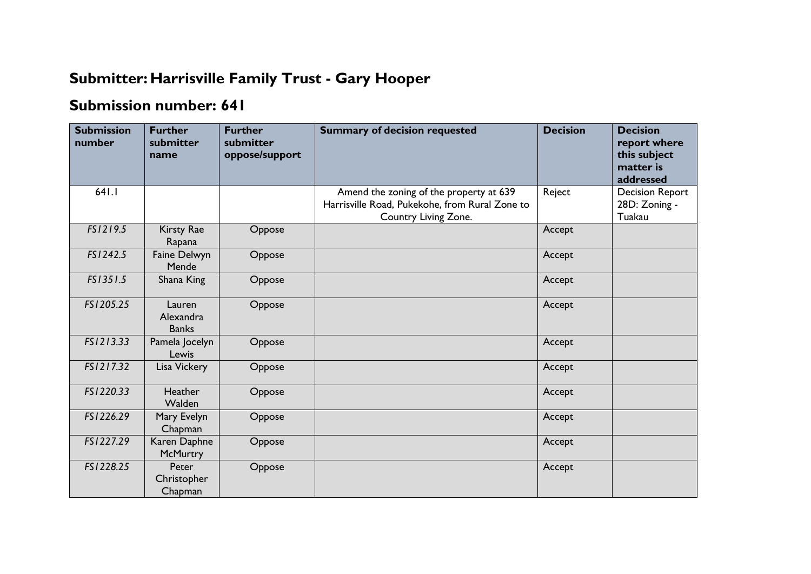## **Submitter: Harrisville Family Trust - Gary Hooper**

## **Submission number: 641**

| <b>Submission</b><br>number | <b>Further</b><br>submitter<br>name | <b>Further</b><br>submitter<br>oppose/support | <b>Summary of decision requested</b>                                                                              | <b>Decision</b> | <b>Decision</b><br>report where<br>this subject<br>matter is<br>addressed |
|-----------------------------|-------------------------------------|-----------------------------------------------|-------------------------------------------------------------------------------------------------------------------|-----------------|---------------------------------------------------------------------------|
| 641.1                       |                                     |                                               | Amend the zoning of the property at 639<br>Harrisville Road, Pukekohe, from Rural Zone to<br>Country Living Zone. | Reject          | <b>Decision Report</b><br>28D: Zoning -<br>Tuakau                         |
| FS1219.5                    | Kirsty Rae<br>Rapana                | Oppose                                        |                                                                                                                   | Accept          |                                                                           |
| FS1242.5                    | Faine Delwyn<br>Mende               | Oppose                                        |                                                                                                                   | Accept          |                                                                           |
| FS1351.5                    | Shana King                          | Oppose                                        |                                                                                                                   | Accept          |                                                                           |
| FS1205.25                   | Lauren<br>Alexandra<br><b>Banks</b> | Oppose                                        |                                                                                                                   | Accept          |                                                                           |
| FS1213.33                   | Pamela Jocelyn<br>Lewis             | Oppose                                        |                                                                                                                   | Accept          |                                                                           |
| FS1217.32                   | Lisa Vickery                        | Oppose                                        |                                                                                                                   | Accept          |                                                                           |
| FS1220.33                   | <b>Heather</b><br>Walden            | Oppose                                        |                                                                                                                   | Accept          |                                                                           |
| FS1226.29                   | Mary Evelyn<br>Chapman              | Oppose                                        |                                                                                                                   | Accept          |                                                                           |
| FS1227.29                   | Karen Daphne<br>McMurtry            | Oppose                                        |                                                                                                                   | Accept          |                                                                           |
| FS1228.25                   | Peter<br>Christopher<br>Chapman     | Oppose                                        |                                                                                                                   | Accept          |                                                                           |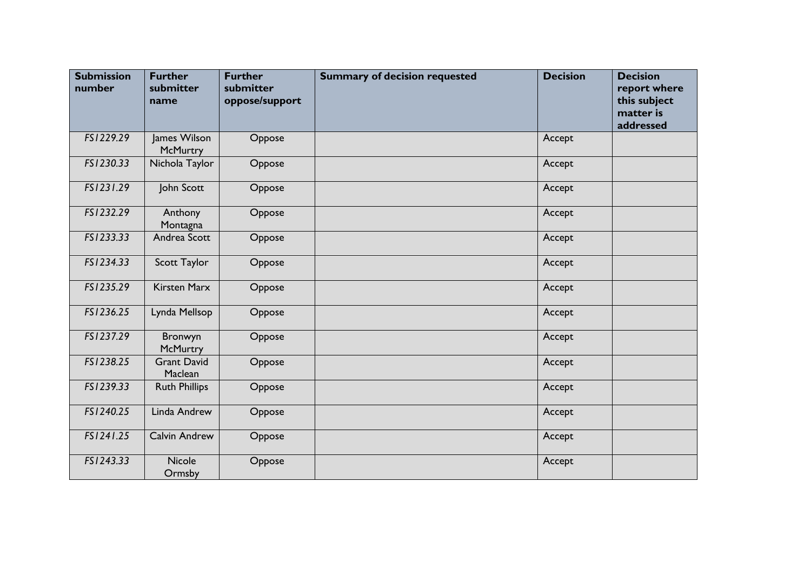| <b>Submission</b><br>number | <b>Further</b><br>submitter<br>name | <b>Further</b><br>submitter<br>oppose/support | <b>Summary of decision requested</b> | <b>Decision</b> | <b>Decision</b><br>report where<br>this subject<br>matter is<br>addressed |
|-----------------------------|-------------------------------------|-----------------------------------------------|--------------------------------------|-----------------|---------------------------------------------------------------------------|
| FS1229.29                   | James Wilson<br>McMurtry            | Oppose                                        |                                      | Accept          |                                                                           |
| FS1230.33                   | Nichola Taylor                      | Oppose                                        |                                      | Accept          |                                                                           |
| FS1231.29                   | John Scott                          | Oppose                                        |                                      | Accept          |                                                                           |
| FS1232.29                   | Anthony<br>Montagna                 | Oppose                                        |                                      | Accept          |                                                                           |
| FS1233.33                   | Andrea Scott                        | Oppose                                        |                                      | Accept          |                                                                           |
| FS1234.33                   | Scott Taylor                        | Oppose                                        |                                      | Accept          |                                                                           |
| FS1235.29                   | <b>Kirsten Marx</b>                 | Oppose                                        |                                      | Accept          |                                                                           |
| FS1236.25                   | Lynda Mellsop                       | Oppose                                        |                                      | Accept          |                                                                           |
| FS1237.29                   | Bronwyn<br><b>McMurtry</b>          | Oppose                                        |                                      | Accept          |                                                                           |
| FS1238.25                   | <b>Grant David</b><br>Maclean       | Oppose                                        |                                      | Accept          |                                                                           |
| FS1239.33                   | <b>Ruth Phillips</b>                | Oppose                                        |                                      | Accept          |                                                                           |
| FS1240.25                   | Linda Andrew                        | Oppose                                        |                                      | Accept          |                                                                           |
| FS1241.25                   | Calvin Andrew                       | Oppose                                        |                                      | Accept          |                                                                           |
| FS1243.33                   | <b>Nicole</b><br>Ormsby             | Oppose                                        |                                      | Accept          |                                                                           |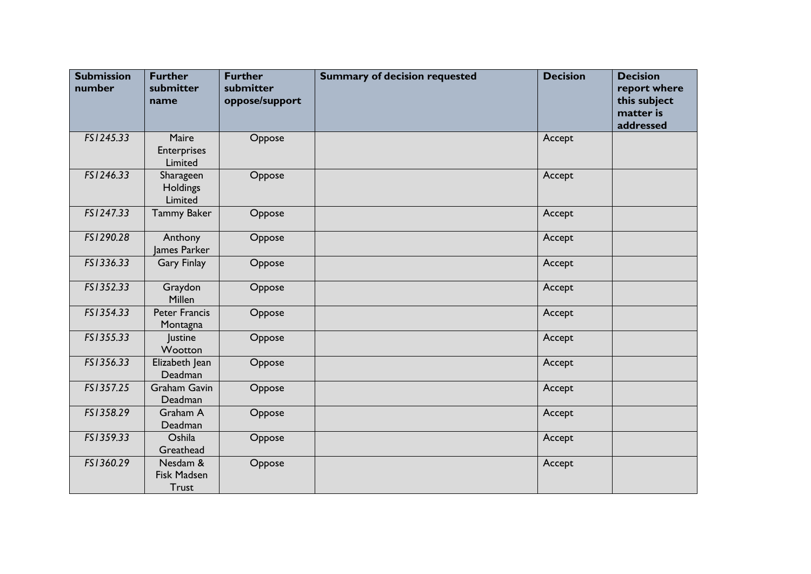| <b>Submission</b><br>number | <b>Further</b><br>submitter<br>name            | <b>Further</b><br>submitter<br>oppose/support | <b>Summary of decision requested</b> | <b>Decision</b> | <b>Decision</b><br>report where<br>this subject<br>matter is<br>addressed |
|-----------------------------|------------------------------------------------|-----------------------------------------------|--------------------------------------|-----------------|---------------------------------------------------------------------------|
| FS1245.33                   | Maire<br><b>Enterprises</b><br>Limited         | Oppose                                        |                                      | Accept          |                                                                           |
| FS1246.33                   | Sharageen<br><b>Holdings</b><br>Limited        | Oppose                                        |                                      | Accept          |                                                                           |
| FS1247.33                   | <b>Tammy Baker</b>                             | Oppose                                        |                                      | Accept          |                                                                           |
| FS1290.28                   | Anthony<br>James Parker                        | Oppose                                        |                                      | Accept          |                                                                           |
| FS1336.33                   | <b>Gary Finlay</b>                             | Oppose                                        |                                      | Accept          |                                                                           |
| FS1352.33                   | Graydon<br>Millen                              | Oppose                                        |                                      | Accept          |                                                                           |
| FS1354.33                   | <b>Peter Francis</b><br>Montagna               | Oppose                                        |                                      | Accept          |                                                                           |
| FS1355.33                   | Justine<br>Wootton                             | Oppose                                        |                                      | Accept          |                                                                           |
| FS1356.33                   | Elizabeth Jean<br>Deadman                      | Oppose                                        |                                      | Accept          |                                                                           |
| FS1357.25                   | <b>Graham Gavin</b><br>Deadman                 | Oppose                                        |                                      | Accept          |                                                                           |
| FS1358.29                   | Graham A<br>Deadman                            | Oppose                                        |                                      | Accept          |                                                                           |
| FS1359.33                   | Oshila<br>Greathead                            | Oppose                                        |                                      | Accept          |                                                                           |
| FS1360.29                   | Nesdam &<br><b>Fisk Madsen</b><br><b>Trust</b> | Oppose                                        |                                      | Accept          |                                                                           |